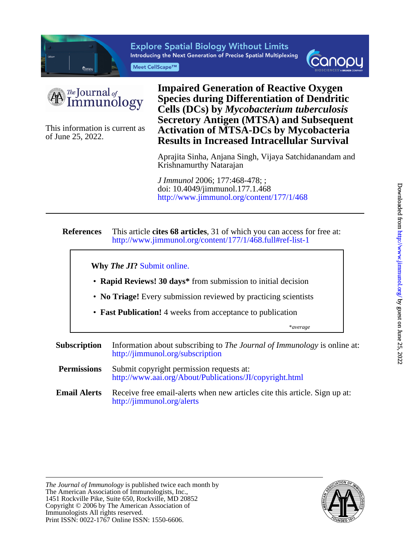





of June 25, 2022. This information is current as

**Results in Increased Intracellular Survival Activation of MTSA-DCs by Mycobacteria Secretory Antigen (MTSA) and Subsequent Cells (DCs) by** *Mycobacterium tuberculosis* **Species during Differentiation of Dendritic Impaired Generation of Reactive Oxygen**

Krishnamurthy Natarajan Aprajita Sinha, Anjana Singh, Vijaya Satchidanandam and

<http://www.jimmunol.org/content/177/1/468> doi: 10.4049/jimmunol.177.1.468 *J Immunol* 2006; 177:468-478; ;

**References** <http://www.jimmunol.org/content/177/1/468.full#ref-list-1> This article **cites 68 articles**, 31 of which you can access for free at:

**Why** *The JI***?** [Submit online.](https://ji.msubmit.net)

- **Rapid Reviews! 30 days\*** from submission to initial decision
- **No Triage!** Every submission reviewed by practicing scientists
- **Fast Publication!** 4 weeks from acceptance to publication

\**average*

- **Subscription** <http://jimmunol.org/subscription> Information about subscribing to *The Journal of Immunology* is online at:
- **Permissions** <http://www.aai.org/About/Publications/JI/copyright.html> Submit copyright permission requests at:
- **Email Alerts** <http://jimmunol.org/alerts> Receive free email-alerts when new articles cite this article. Sign up at:

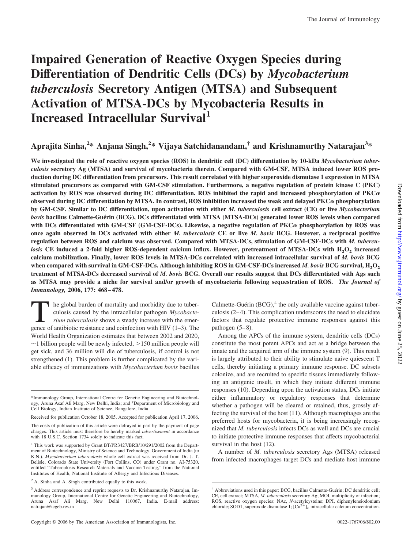# **Impaired Generation of Reactive Oxygen Species during Differentiation of Dendritic Cells (DCs) by** *Mycobacterium tuberculosis* **Secretory Antigen (MTSA) and Subsequent Activation of MTSA-DCs by Mycobacteria Results in Increased Intracellular Survival**

# **Aprajita Sinha,<sup>2</sup> \* Anjana Singh,<sup>2</sup> \* Vijaya Satchidanandam,† and Krishnamurthy Natarajan<sup>3</sup> \***

**We investigated the role of reactive oxygen species (ROS) in dendritic cell (DC) differentiation by 10-kDa** *Mycobacterium tuberculosis* **secretory Ag (MTSA) and survival of mycobacteria therein. Compared with GM-CSF, MTSA induced lower ROS production during DC differentiation from precursors. This result correlated with higher superoxide dismutase 1 expression in MTSA stimulated precursors as compared with GM-CSF stimulation. Furthermore, a negative regulation of protein kinase C (PKC)** activation by ROS was observed during DC differentiation. ROS inhibited the rapid and increased phosphorylation of  $PKC\alpha$ **observed during DC differentiation by MTSA. In contrast, ROS inhibition increased the weak and delayed**  $PKC\alpha$  **phosphorylation by GM-CSF. Similar to DC differentiation, upon activation with either** *M. tuberculosis* **cell extract (CE) or live** *Mycobacterium bovis* bacillus Calmette-Guérin (BCG), DCs differentiated with MTSA (MTSA-DCs) generated lower ROS levels when compared **with DCs differentiated with GM-CSF (GM-CSF-DCs). Likewise, a negative regulation of PKC phosphorylation by ROS was once again observed in DCs activated with either** *M. tuberculosis* **CE or live** *M. bovis* **BCG. However, a reciprocal positive regulation between ROS and calcium was observed. Compared with MTSA-DCs, stimulation of GM-CSF-DCs with** *M. tuberculosis* CE induced a 2-fold higher ROS-dependent calcium influx. However, pretreatment of MTSA-DCs with H<sub>2</sub>O<sub>2</sub> increased **calcium mobilization. Finally, lower ROS levels in MTSA-DCs correlated with increased intracellular survival of** *M. bovis* **BCG** when compared with survival in GM-CSF-DCs. Although inhibiting ROS in GM-CSF-DCs increased *M. bovis* BCG survival, H<sub>2</sub>O<sub>2</sub> **treatment of MTSA-DCs decreased survival of** *M. bovis* **BCG. Overall our results suggest that DCs differentiated with Ags such as MTSA may provide a niche for survival and/or growth of mycobacteria following sequestration of ROS.** *The Journal of Immunology,* **2006, 177: 468–478.**

The global burden of mortality and morbidity due to tuber-<br>culosis caused by the intracellular pathogen Mycobacte-<br>rium tuberculosis shows a steady increase with the emer-<br>gence of antibiotic resistance and coinfection wit culosis caused by the intracellular pathogen *Mycobacterium tuberculosis* shows a steady increase with the emergence of antibiotic resistance and coinfection with HIV (1–3). The World Health Organization estimates that between 2002 and 2020,  $\sim$ 1 billion people will be newly infected,  $>$ 150 million people will get sick, and 36 million will die of tuberculosis, if control is not strengthened (1). This problem is further complicated by the variable efficacy of immunizations with *Mycobacterium bovis* bacillus

Calmette-Guérin  $(BCG)$ ,<sup>4</sup> the only available vaccine against tuberculosis (2–4). This complication underscores the need to elucidate factors that regulate protective immune responses against this pathogen (5–8).

Among the APCs of the immune system, dendritic cells (DCs) constitute the most potent APCs and act as a bridge between the innate and the acquired arm of the immune system (9). This result is largely attributed to their ability to stimulate naive quiescent T cells, thereby initiating a primary immune response. DC subsets colonize, and are recruited to specific tissues immediately following an antigenic insult, in which they initiate different immune responses (10). Depending upon the activation status, DCs initiate either inflammatory or regulatory responses that determine whether a pathogen will be cleared or retained, thus, grossly affecting the survival of the host (11). Although macrophages are the preferred hosts for mycobacteria, it is being increasingly recognized that *M. tuberculosis* infects DCs as well and DCs are crucial to initiate protective immune responses that affects mycobacterial survival in the host (12).

A number of *M. tuberculosis* secretory Ags (MTSA) released from infected macrophages target DCs and mediate host immune

<sup>\*</sup>Immunology Group, International Centre for Genetic Engineering and Biotechnology, Aruna Asaf Ali Marg, New Delhi, India; and † Department of Microbiology and Cell Biology, Indian Institute of Science, Bangalore, India

Received for publication October 18, 2005. Accepted for publication April 17, 2006.

The costs of publication of this article were defrayed in part by the payment of page charges. This article must therefore be hereby marked *advertisement* in accordance with 18 U.S.C. Section 1734 solely to indicate this fact.

<sup>&</sup>lt;sup>1</sup> This work was supported by Grant BT/PR3427/BRB/10/291/2002 from the Department of Biotechnology, Ministry of Science and Technology, Government of India (to K.N.). *Mycobacterium tuberculosis* whole cell extract was received from Dr. J. T. Belisle, Colorado State University (Fort Collins, CO) under Grant no. AI-75320, entitled "Tuberculosis Research Materials and Vaccine Testing," from the National Institutes of Health, National Institute of Allergy and Infectious Diseases.

<sup>&</sup>lt;sup>2</sup> A. Sinha and A. Singh contributed equally to this work

<sup>&</sup>lt;sup>3</sup> Address correspondence and reprint requests to Dr. Krishnamurthy Natarajan, Immunology Group, International Centre for Genetic Engineering and Biotechnology, Aruna Asaf Ali Marg, New Delhi 110067, India. E-mail address: natrajan@icgeb.res.in

<sup>&</sup>lt;sup>4</sup> Abbreviations used in this paper: BCG, bacillus Calmette-Guérin; DC dendritic cell; CE, cell extract; MTSA, *M. tuberculosis* secretory Ag; MOI, multiplicity of infection; ROS, reactive oxygen species; NAc, *N*-acetylcysteine; DPI, diphenyleneiodonium chloride; SOD1, superoxide dismutase 1;  $[Ca^{2+}]$ <sub>i</sub>, intracellular calcium concentration.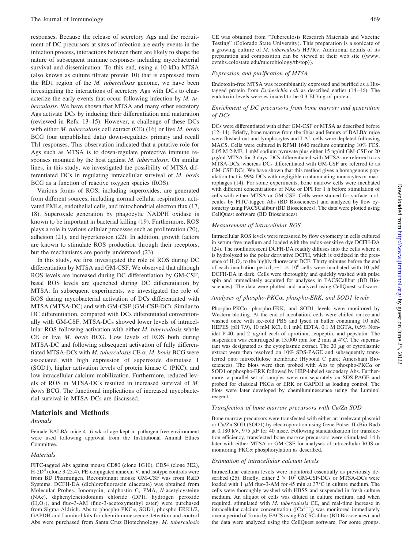responses. Because the release of secretory Ags and the recruitment of DC precursors at sites of infection are early events in the infection process, interactions between them are likely to shape the nature of subsequent immune responses including mycobacterial survival and dissemination. To this end, using a 10-kDa MTSA (also known as culture filtrate protein 10) that is expressed from the RD1 region of the *M. tuberculosis* genome, we have been investigating the interactions of secretory Ags with DCs to characterize the early events that occur following infection by *M. tuberculosis*. We have shown that MTSA and many other secretory Ags activate DCs by inducing their differentiation and maturation (reviewed in Refs. 13–15). However, a challenge of these DCs with either *M. tuberculosis* cell extract (CE) (16) or live *M. bovis* BCG (our unpublished data) down-regulates primary and recall Th1 responses. This observation indicated that a putative role for Ags such as MTSA is to down-regulate protective immune responses mounted by the host against *M. tuberculosis*. On similar lines, in this study, we investigated the possibility of MTSA differentiated DCs in regulating intracellular survival of *M. bovis* BCG as a function of reactive oxygen species (ROS).

Various forms of ROS, including superoxides, are generated from different sources, including normal cellular respiration, activated PMLs, endothelial cells, and mitochondrial electron flux (17, 18). Superoxide generation by phagocytic NADPH oxidase is known to be important in bacterial killing (19). Furthermore, ROS plays a role in various cellular processes such as proliferation (20), adhesion (21), and hypertension (22). In addition, growth factors are known to stimulate ROS production through their receptors, but the mechanisms are poorly understood (23).

In this study, we first investigated the role of ROS during DC differentiation by MTSA and GM-CSF. We observed that although ROS levels are increased during DC differentiation by GM-CSF, basal ROS levels are quenched during DC differentiation by MTSA. In subsequent experiments, we investigated the role of ROS during mycobacterial activation of DCs differentiated with MTSA (MTSA-DC) and with GM-CSF (GM-CSF-DC). Similar to DC differentiation, compared with DCs differentiated conventionally with GM-CSF, MTSA-DCs showed lower levels of intracellular ROS following activation with either *M. tuberculosis* whole CE or live *M. bovis* BCG. Low levels of ROS both during MTSA-DC and following subsequent activation of fully differentiated MTSA-DCs with *M. tuberculosis* CE or *M. bovis* BCG were associated with high expression of superoxide dismutase 1 (SOD1), higher activation levels of protein kinase C (PKC), and low intracellular calcium mobilization. Furthermore, reduced levels of ROS in MTSA-DCs resulted in increased survival of *M. bovis* BCG. The functional implications of increased mycobacterial survival in MTSA-DCs are discussed.

#### **Materials and Methods**

#### *Animals*

Female BALB/c mice 4–6 wk of age kept in pathogen-free environment were used following approval from the Institutional Animal Ethics Committee.

#### *Materials*

FITC-tagged Abs against mouse CD80 (clone 1G10), CD54 (clone 3E2),  $H-2D<sup>d</sup>$  (clone 3-25.4), PE-conjugated annexin V, and isotype controls were from BD Pharmingen. Recombinant mouse GM-CSF was from R&D Systems. DCFH-DA (dichlorofluorescin diacetate) was obtained from Molecular Probes. Ionomycin, calphostin C, PMA, *N*-acetylcysteine (NAc), diphenyleneiodonium chloride (DPI), hydrogen peroxide  $(H<sub>2</sub>O<sub>2</sub>)$ , and fluo-3-AM (fluo-3-acetoxymethyl ester) were purchased from Sigma-Aldrich. Abs to phospho-PKC $\alpha$ , SOD1, phospho-ERK1/2, GAPDH and Luminol kits for chemiluminescence detection and control Abs were purchased from Santa Cruz Biotechnology. *M. tuberculosis* CE was obtained from "Tuberculosis Research Materials and Vaccine Testing" (Colorado State University). This preparation is a sonicate of a growing culture of *M. tuberculosis* H37Rv. Additional details of its preparation and composition can be viewed at their web site ((www. cvmbs.colostate.edu/microbiology/tb/top).

#### *Expression and purification of MTSA*

Endotoxin-free MTSA was recombinantly expressed and purified as a Histagged protein from *Escherichia coli* as described earlier (14–16). The endotoxin levels were estimated to be 0.3 EU/mg of protein.

## *Enrichment of DC precursors from bone marrow and generation of DCs*

DCs were differentiated with either GM-CSF or MTSA as described before (12–14). Briefly, bone marrow from the tibias and femurs of BALB/c mice were flushed out and lymphocytes and  $I-A^+$  cells were depleted following MACS. Cells were cultured in RPMI 1640 medium containing 10% FCS, 0.05 M 2-ME, 1 mM sodium pyruvate plus either 15 ng/ml GM-CSF or 20  $\mu$ g/ml MTSA for 3 days. DCs differentiated with MTSA are referred to as MTSA-DCs, whereas DCs differentiated with GM-CSF are referred to as GM-CSF-DCs. We have shown that this method gives a homogenous population that is 99% DCs with negligible contaminating monocytes or macrophages (14). For some experiments, bone marrow cells were incubated with different concentrations of NAc or DPI for 1 h before stimulation of cells with either MTSA or GM-CSF. Cells were stained for surface molecules by FITC-tagged Abs (BD Biosciences) and analyzed by flow cytometry using FACSCalibur (BD Biosciences). The data were plotted using CellQuest software (BD Biosciences).

#### *Measurement of intracellular ROS*

Intracellular ROS levels were measured by flow cytometry in cells cultured in serum-free medium and loaded with the redox-sensitive dye DCFH-DA (24). The nonfluorescent DCFH-DA readily diffuses into the cells where it is hydrolyzed to the polar derivative DCFH, which is oxidized in the presence of  $H_2O_2$  to the highly fluorescent DCF. Thirty minutes before the end of each incubation period,  $\sim$  1  $\times$  10<sup>6</sup> cells were incubated with 10  $\mu$ M DCFH-DA in dark. Cells were thoroughly and quickly washed with pulse spin and immediately acquired for analyses in FACSCalibur (BD Biosciences). The data were plotted and analyzed using CellQuest software.

## *Analyses of phospho-PKC, phospho-ERK, and SOD1 levels*

Phospho-PKC $\alpha$ , phospho-ERK, and SOD1 levels were monitored by Western blotting. At the end of incubation, cells were chilled on ice and washed once with ice-cold PBS and lysed in buffer containing 10 mM HEPES (pH 7.9), 10 mM KCl, 0.1 mM EDTA, 0.1 M EGTA, 0.5% Nonidet P-40, and 2  $\mu$ g/ml each of aprotinin, leupeptin, and pepstatin. The suspension was centrifuged at 13,000 rpm for 2 min at 4°C. The supernatant was designated as the cytoplasmic extract. The  $20 \mu g$  of cytoplasmic extract were then resolved on 10% SDS-PAGE and subsequently transferred onto nitrocellulose membrane (Hybond C pure; Amersham Biosciences). The blots were then probed with Abs to phospho-PKC $\alpha$  or SOD1 or phospho-ERK followed by HRP-labeled secondary Abs. Furthermore, a parallel set of samples were run separately on SDS-PAGE and probed for classical PKC $\alpha$  or ERK or GAPDH as loading control. The blots were later developed by chemiluminescence using the Luminol reagent.

#### *Transfection of bone marrow precursors with Cu/Zn SOD*

Bone marrow precursors were transfected with either an irrelevant plasmid or Cu/Zn SOD (SOD1) by electroporation using Gene Pulser II (Bio-Rad) at 0.180 kV, 975  $\mu$ F for 40 msec. Following standardization for transfection efficiency, transfected bone marrow precursors were stimulated 14 h later with either MTSA or GM-CSF for analyses of intracellular ROS or monitoring  $PKC\alpha$  phosphorylation as described.

#### *Estimation of intracellular calcium levels*

Intracellular calcium levels were monitored essentially as previously described (25). Briefly, either  $2 \times 10^7$  GM-CSF-DCs or MTSA-DCs were loaded with 1  $\mu$ M fluo-3-AM for 45 min at 37°C in culture medium. The cells were thoroughly washed with HBSS and suspended in fresh culture medium. An aliquot of cells was diluted in culture medium, and when required, stimulated with *M. tuberculosis* CE, and real-time increase in intracellular calcium concentration ( $[Ca^{2+}]_i$ ) was monitored immediately over a period of 5 min by FACS using FACSCalibur (BD Biosciences), and the data were analyzed using the CellQuest software. For some groups,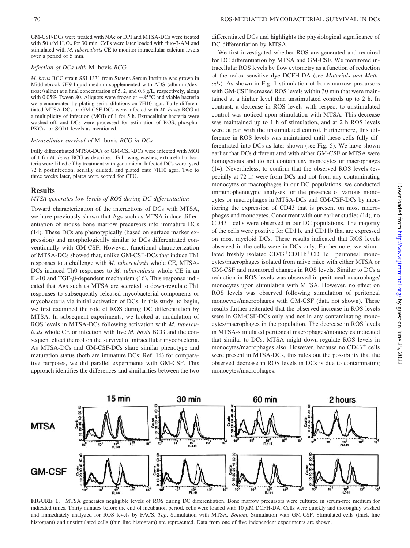GM-CSF-DCs were treated with NAc or DPI and MTSA-DCs were treated with 50  $\mu$ M H<sub>2</sub>O<sub>2</sub> for 30 min. Cells were later loaded with fluo-3-AM and stimulated with *M. tuberculosis* CE to monitor intracellular calcium levels over a period of 5 min.

#### *Infection of DCs with* M. bovis *BCG*

*M. bovis* BCG strain SSI-1331 from Statens Serum Institute was grown in Middlebrook 7H9 liquid medium supplemented with ADS (albumin/dextrose/saline) at a final concentration of 5, 2, and 0.8 g/L, respectively, along with 0.05% Tween 80. Aliquots were frozen at  $-85^{\circ}$ C and viable bacteria were enumerated by plating serial dilutions on 7H10 agar. Fully differentiated MTSA-DCs or GM-CSF-DCs were infected with *M. bovis* BCG at a multiplicity of infection (MOI) of 1 for 5 h. Extracellular bacteria were washed off, and DCs were processed for estimation of ROS, phospho- $PKC\alpha$ , or SOD1 levels as mentioned.

#### *Intracellular survival of* M. bovis *BCG in DCs*

Fully differentiated MTSA-DCs or GM-CSF-DCs were infected with MOI of 1 for *M. bovis* BCG as described. Following washes, extracellular bacteria were killed off by treatment with gentamicin. Infected DCs were lysed 72 h postinfection, serially diluted, and plated onto 7H10 agar. Two to three weeks later, plates were scored for CFU.

# **Results**

#### *MTSA generates low levels of ROS during DC differentiation*

Toward characterization of the interactions of DCs with MTSA, we have previously shown that Ags such as MTSA induce differentiation of mouse bone marrow precursors into immature DCs (14). These DCs are phenotypically (based on surface marker expression) and morphologically similar to DCs differentiated conventionally with GM-CSF. However, functional characterization of MTSA-DCs showed that, unlike GM-CSF-DCs that induce Th1 responses to a challenge with *M. tuberculosis* whole CE, MTSA-DCs induced Th0 responses to *M. tuberculosis* whole CE in an IL-10 and TGF- $\beta$ -dependent mechanism (16). This response indicated that Ags such as MTSA are secreted to down-regulate Th1 responses to subsequently released mycobacterial components or mycobacteria via initial activation of DCs. In this study, to begin, we first examined the role of ROS during DC differentiation by MTSA. In subsequent experiments, we looked at modulation of ROS levels in MTSA-DCs following activation with *M. tuberculosis* whole CE or infection with live *M. bovis* BCG and the consequent effect thereof on the survival of intracellular mycobacteria. As MTSA-DCs and GM-CSF-DCs share similar phenotype and maturation status (both are immature DCs; Ref. 14) for comparative purposes, we did parallel experiments with GM-CSF. This approach identifies the differences and similarities between the two

differentiated DCs and highlights the physiological significance of DC differentiation by MTSA.

We first investigated whether ROS are generated and required for DC differentiation by MTSA and GM-CSF. We monitored intracellular ROS levels by flow cytometry as a function of reduction of the redox sensitive dye DCFH-DA (see *Materials and Methods*). As shown in Fig. 1 stimulation of bone marrow precursors with GM-CSF increased ROS levels within 30 min that were maintained at a higher level than unstimulated controls up to 2 h. In contrast, a decrease in ROS levels with respect to unstimulated control was noticed upon stimulation with MTSA. This decrease was maintained up to 1 h of stimulation, and at 2 h ROS levels were at par with the unstimulated control. Furthermore, this difference in ROS levels was maintained until these cells fully differentiated into DCs as later shown (see Fig. 5). We have shown earlier that DCs differentiated with either GM-CSF or MTSA were homogenous and do not contain any monocytes or macrophages (14). Nevertheless, to confirm that the observed ROS levels (especially at 72 h) were from DCs and not from any contaminating monocytes or macrophages in our DC populations, we conducted immunophenotypic analyses for the presence of various monocytes or macrophages in MTSA-DCs and GM-CSF-DCs by monitoring the expression of CD43 that is present on most macrophages and monocytes. Concurrent with our earlier studies (14), no  $CD43<sup>+</sup>$  cells were observed in our DC populations. The majority of the cells were positive for CD11c and CD11b that are expressed on most myeloid DCs. These results indicated that ROS levels observed in the cells were in DCs only. Furthermore, we stimulated freshly isolated  $CD43^+CD11b^+CD11c^-$  peritoneal monocytes/macrophages isolated from naive mice with either MTSA or GM-CSF and monitored changes in ROS levels. Similar to DCs a reduction in ROS levels was observed in peritoneal macrophage/ monocytes upon stimulation with MTSA. However, no effect on ROS levels was observed following stimulation of peritoneal monocytes/macrophages with GM-CSF (data not shown). These results further reiterated that the observed increase in ROS levels were in GM-CSF-DCs only and not in any contaminating monocytes/macrophages in the population. The decrease in ROS levels in MTSA-stimulated peritoneal macrophages/monocytes indicated that similar to DCs, MTSA might down-regulate ROS levels in monocytes/macrophages also. However, because no  $CD43<sup>+</sup>$  cells were present in MTSA-DCs, this rules out the possibility that the observed decrease in ROS levels in DCs is due to contaminating monocytes/macrophages.



**FIGURE 1.** MTSA generates negligible levels of ROS during DC differentiation. Bone marrow precursors were cultured in serum-free medium for indicated times. Thirty minutes before the end of incubation period, cells were loaded with  $10 \mu$ M DCFH-DA. Cells were quickly and thoroughly washed and immediately analyzed for ROS levels by FACS. *Top*, Stimulation with MTSA. *Bottom*, Stimulation with GM-CSF. Stimulated cells (thick line histogram) and unstimulated cells (thin line histogram) are represented. Data from one of five independent experiments are shown.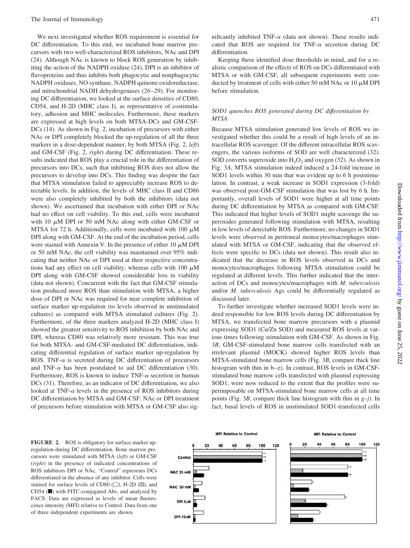We next investigated whether ROS requirement is essential for DC differentiation. To this end, we incubated bone marrow precursors with two well-characterized ROS inhibitors, NAc and DPI (24). Although NAc is known to block ROS generation by inhibiting the action of the NADPH oxidase (24), DPI is an inhibitor of flavoproteins and thus inhibits both phagocytic and nonphagocytic NADPH oxidases, NO synthase, NADPH quinone:oxidoreductase, and mitochondrial NADH dehydrogenases (26–29). For monitoring DC differentiation, we looked at the surface densities of CD80, CD54, and H-2D (MHC class I), as representative of costimulatory, adhesion and MHC molecules. Furthermore, these markers are expressed at high levels on both MTSA-DCs and GM-CSF-DCs (14). As shown in Fig. 2, incubation of precursors with either NAc or DPI completely blocked the up-regulation of all the three markers in a dose-dependent manner, by both MTSA (Fig. 2, *left*) and GM-CSF (Fig. 2, *right*) during DC differentiation. These results indicated that ROS play a crucial role in the differentiation of precursors into DCs, such that inhibiting ROS does not allow the precursors to develop into DCs. This finding was despite the fact that MTSA stimulation failed to appreciably increase ROS to detectable levels. In addition, the levels of MHC class II and CD86 were also completely inhibited by both the inhibitors (data not shown). We ascertained that incubation with either DPI or NAc had no effect on cell viability. To this end, cells were incubated with 10  $\mu$ M DPI or 50 mM NAc along with either GM-CSF or MTSA for 72 h. Additionally, cells were incubated with 100  $\mu$ M DPI along with GM-CSF. At the end of the incubation period, cells were stained with Annexin V. In the presence of either 10  $\mu$ M DPI or 50 mM NAc, the cell viability was maintained over 95% indicating that neither NAc or DPI used at their respective concentrations had any effect on cell viability, whereas cells with  $100 \mu M$ DPI along with GM-CSF showed considerable loss in viability (data not shown). Concurrent with the fact that GM-CSF stimulation produced more ROS than stimulation with MTSA, a higher dose of DPI or NAc was required for near complete inhibition of surface marker up-regulation (to levels observed in unstimulated cultures) as compared with MTSA stimulated cultures (Fig. 2). Furthermore, of the three markers analyzed H-2D (MHC class I) showed the greatest sensitivity to ROS inhibition by both NAc and DPI, whereas CD80 was relatively more resistant. This was true for both MTSA- and GM-CSF-mediated DC differentiation, indicating differential regulation of surface marker up-regulation by ROS. TNF- $\alpha$  is secreted during DC differentiation of precursors and TNF- $\alpha$  has been postulated to aid DC differentiation (30). Furthermore, ROS is known to induce TNF- $\alpha$  secretion in human DCs (31). Therefore, as an indicator of DC differentiation, we also looked at TNF- $\alpha$  levels in the presence of ROS inhibitors during DC differentiation by MTSA and GM-CSF. NAc or DPI treatment of precursors before stimulation with MTSA or GM-CSF also sig-

nificantly inhibited TNF- $\alpha$  (data not shown). These results indicated that ROS are required for TNF- $\alpha$  secretion during DC differentiation.

Keeping these identified dose thresholds in mind, and for a realistic comparison of the effects of ROS on DCs differentiated with MTSA or with GM-CSF, all subsequent experiments were conducted by treatment of cells with either 50 mM NAc or 10  $\mu$ M DPI before stimulation.

# *SOD1 quenches ROS generated during DC differentiation by MTSA*

Because MTSA stimulation generated low levels of ROS we investigated whether this could be a result of high levels of an intracellular ROS scavenger. Of the different intracellular ROS scavengers, the various isoforms of SOD are well characterized (32). SOD converts superoxide into  $H_2O_2$  and oxygen (32). As shown in Fig. 3*A*, MTSA stimulation indeed induced a 24-fold increase in SOD1 levels within 30 min that was evident up to 6 h poststimulation. In contrast, a weak increase in SOD1 expression (3-fold) was observed post-GM-CSF stimulation that was lost by 6 h. Importantly, overall levels of SOD1 were higher at all time points during DC differentiation by MTSA as compared with GM-CSF. This indicated that higher levels of SOD1 might scavenge the superoxides generated following stimulation with MTSA, resulting in low levels of detectable ROS. Furthermore, no changes in SOD1 levels were observed in peritoneal monocytes/macrophages stimulated with MTSA or GM-CSF, indicating that the observed effects were specific to DCs (data not shown). This result also indicated that the decrease in ROS levels observed in DCs and monocytes/macrophages following MTSA stimulation could be regulated at different levels. This further indicated that the interaction of DCs and monocytes/macrophages with *M. tuberculosis* and/or *M. tuberculosis* Ags could be differentially regulated as discussed later.

To further investigate whether increased SOD1 levels were indeed responsible for low ROS levels during DC differentiation by MTSA, we transfected bone marrow precursors with a plasmid expressing SOD1 (Cu/Zn SOD) and measured ROS levels at various times following stimulation with GM-CSF. As shown in Fig. 3*B*, GM-CSF-stimulated bone marrow cells transfected with an irrelevant plasmid (MOCK) showed higher ROS levels than MTSA-stimulated bone marrow cells (Fig. 3*B*, compare thick line histogram with thin in b–e). In contrast, ROS levels in GM-CSFstimulated bone marrow cells transfected with plasmid expressing SOD1, were now reduced to the extent that the profiles were superimposable on MTSA-stimulated bone marrow cells at all time points (Fig. 3*B*, compare thick line histogram with thin in *g–j*). In fact, basal levels of ROS in unstimulated SOD1-transfected cells

**FIGURE 2.** ROS is obligatory for surface marker upregulation during DC differentiation. Bone marrow precursors were stimulated with MTSA (*left*) or GM-CSF (*right*) in the presence of indicated concentrations of ROS inhibitors DPI or NAc. "Control" represents DCs differentiated in the absence of any inhibitor. Cells were stained for surface levels of CD80  $($ , H-2D  $($  $)$ , and CD54 ( $\blacksquare$ ) with FITC-conjugated Abs, and analyzed by FACS. Data are expressed as levels of mean fluorescence intensity (MFI) relative to Control. Data from one of three independent experiments are shown.

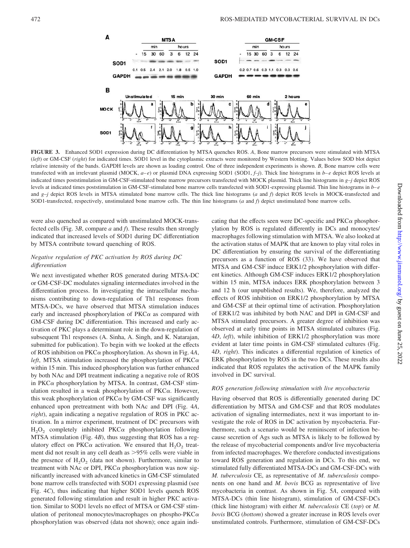

**FIGURE 3.** Enhanced SOD1 expression during DC differentiation by MTSA quenches ROS. *A*, Bone marrow precursors were stimulated with MTSA (*left*) or GM-CSF (*right*) for indicated times. SOD1 level in the cytoplasmic extracts were monitored by Western blotting. Values below SOD blot depict relative intensity of the bands. GAPDH levels are shown as loading control. One of three independent experiments is shown. *B*, Bone marrow cells were transfected with an irrelevant plasmid (MOCK, *a– e*) or plasmid DNA expressing SOD1 (SOD1, *f–j*). Thick line histograms in *b– e* depict ROS levels at indicated times poststimulation in GM-CSF-stimulated bone marrow precursors transfected with MOCK plasmid. Thick line histograms in *g–j* depict ROS levels at indicated times poststimulation in GM-CSF-stimulated bone marrow cells transfected with SOD1-expressing plasmid. Thin line histograms in *b– e* and *g–j* depict ROS levels in MTSA stimulated bone marrow cells. The thick line histograms (*a* and *f*) depict ROS levels in MOCK-transfected and SOD1-transfected, respectively, unstimulated bone marrow cells. The thin line histograms (*a* and *f*) depict unstimulated bone marrow cells.

were also quenched as compared with unstimulated MOCK-transfected cells (Fig. 3*B*, compare *a* and *f*). These results then strongly indicated that increased levels of SOD1 during DC differentiation by MTSA contribute toward quenching of ROS.

# *Negative regulation of PKC activation by ROS during DC differentiation*

We next investigated whether ROS generated during MTSA-DC or GM-CSF-DC modulates signaling intermediates involved in the differentiation process. In investigating the intracellular mechanisms contributing to down-regulation of Th1 responses from MTSA-DCs, we have observed that MTSA stimulation induces early and increased phosphorylation of  $PKC\alpha$  as compared with GM-CSF during DC differentiation. This increased and early activation of PKC plays a determinant role in the down-regulation of subsequent Th1 responses (A. Sinha, A. Singh, and K. Natarajan, submitted for publication). To begin with we looked at the effects of ROS inhibition on  $PKC\alpha$  phosphorylation. As shown in Fig. 4A, *left*, MTSA stimulation increased the phosphorylation of  $PKC\alpha$ within 15 min. This induced phosphorylation was further enhanced by both NAc and DPI treatment indicating a negative role of ROS in PKC $\alpha$  phosphorylation by MTSA. In contrast, GM-CSF stimulation resulted in a weak phosphorylation of  $PKC\alpha$ . However, this weak phosphorylation of  $PKC\alpha$  by GM-CSF was significantly enhanced upon pretreatment with both NAc and DPI (Fig. 4*A*, *right*), again indicating a negative regulation of ROS in PKC activation. In a mirror experiment, treatment of DC precursors with  $H_2O_2$  completely inhibited PKC $\alpha$  phosphorylation following MTSA stimulation (Fig. 4*B*), thus suggesting that ROS has a regulatory effect on PKC $\alpha$  activation. We ensured that H<sub>2</sub>O<sub>2</sub> treatment did not result in any cell death as >95% cells were viable in the presence of  $H_2O_2$  (data not shown). Furthermore, similar to treatment with NAc or DPI,  $PKC\alpha$  phosphorylation was now significantly increased with advanced kinetics in GM-CSF stimulated bone marrow cells transfected with SOD1 expressing plasmid (see Fig. 4*C*), thus indicating that higher SOD1 levels quench ROS generated following stimulation and result in higher PKC activation. Similar to SOD1 levels no effect of MTSA or GM-CSF stimulation of peritoneal monocytes/macrophages on phospho-PKC $\alpha$ phosphorylation was observed (data not shown); once again indicating that the effects seen were DC-specific and  $PKC\alpha$  phosphorylation by ROS is regulated differently in DCs and monocytes/ macrophages following stimulation with MTSA. We also looked at the activation status of MAPK that are known to play vital roles in DC differentiation by ensuring the survival of the differentiating precursors as a function of ROS (33). We have observed that MTSA and GM-CSF induce ERK1/2 phosphorylation with different kinetics. Although GM-CSF induces ERK1/2 phosphorylation within 15 min, MTSA induces ERK phosphorylation between 3 and 12 h (our unpublished results). We, therefore, analyzed the effects of ROS inhibition on ERK1/2 phosphorylation by MTSA and GM-CSF at their optimal time of activation. Phosphorylation of ERK1/2 was inhibited by both NAC and DPI in GM-CSF and MTSA stimulated precursors. A greater degree of inhibition was observed at early time points in MTSA stimulated cultures (Fig. 4*D*, *left*), while inhibition of ERK1/2 phosphorylation was more evident at later time points in GM-CSF stimulated cultures (Fig. 4*D*, *right*). This indicates a differential regulation of kinetics of ERK phosphorylation by ROS in the two DCs. These results also indicated that ROS regulates the activation of the MAPK family involved in DC survival.

#### *ROS generation following stimulation with live mycobacteria*

Having observed that ROS is differentially generated during DC differentiation by MTSA and GM-CSF and that ROS modulates activation of signaling intermediates, next it was important to investigate the role of ROS in DC activation by mycobacteria. Furthermore, such a scenario would be reminiscent of infection because secretion of Ags such as MTSA is likely to be followed by the release of mycobacterial components and/or live mycobacteria from infected macrophages. We therefore conducted investigations toward ROS generation and regulation in DCs. To this end, we stimulated fully differentiated MTSA-DCs and GM-CSF-DCs with *M. tuberculosis* CE, as representative of *M. tuberculosis* components on one hand and *M. bovis* BCG as representative of live mycobacteria in contrast. As shown in Fig. 5*A*, compared with MTSA-DCs (thin line histogram), stimulation of GM-CSF-DCs (thick line histogram) with either *M. tuberculosis* CE (*top*) or *M. bovis* BCG (*bottom*) showed a greater increase in ROS levels over unstimulated controls. Furthermore, stimulation of GM-CSF-DCs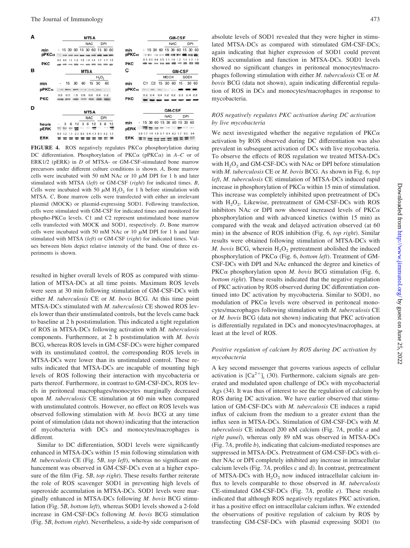| А |                      | <b>MTSA</b> |         |     |            |                            |             |            |          |                   |    |                    |  |    |                |            | <b>GM-CSF</b>                                   |               |                  |                   |       |     |  |
|---|----------------------|-------------|---------|-----|------------|----------------------------|-------------|------------|----------|-------------------|----|--------------------|--|----|----------------|------------|-------------------------------------------------|---------------|------------------|-------------------|-------|-----|--|
|   |                      |             |         |     | <b>NAC</b> |                            |             | <b>DPI</b> |          |                   |    |                    |  |    |                | <b>NAC</b> |                                                 |               |                  | DPI               |       |     |  |
|   | min<br>pPKCa         |             |         |     |            | 15 30 60 15 30 60 15 30 60 |             |            |          |                   |    | min<br>pPKCa       |  |    |                |            | 15 30 60 15 30 60 15 30 60                      |               |                  |                   |       |     |  |
|   | <b>PKC</b>           | 8.2         | 0.9     |     | $1.1$ 1.2  |                            | 1.5 1.4 1.4 |            |          | $1.7$ $1.7$ $1.5$ |    | <b>PKC</b>         |  | 03 | 0.6            |            | 04 05 13 14 12                                  |               |                  | $1.9$ $1.2$ $1.3$ |       |     |  |
| в |                      |             |         |     |            | <b>MTSA</b>                |             |            |          |                   |    | С                  |  |    |                |            |                                                 | <b>GM-CSF</b> |                  |                   |       |     |  |
|   |                      |             |         |     |            |                            |             |            | $H_2O_2$ |                   |    |                    |  |    |                |            | <b>MOCK</b>                                     |               | SOD <sub>1</sub> |                   |       |     |  |
|   | min                  |             |         | 15  | 30         | 60                         | 15          |            | 30       | 60                |    | min                |  | C1 | C <sub>2</sub> | 15         | 30                                              | 60            | 15               |                   | 30 60 |     |  |
|   | pPKCa                |             |         |     |            |                            |             |            |          |                   |    | $pPKC\alpha$       |  |    |                |            |                                                 |               |                  |                   |       |     |  |
|   | <b>PKC</b>           | 0.6         |         | 0.5 | 1.5        | 0.6                        | 0.6         |            | 0.8      | 0.2               |    | <b>PKC</b>         |  |    | 0.2 0.4        |            | $0.4$ $0.2$                                     | 0.2           | 2.3              |                   | 2.4   | 2.3 |  |
| D |                      | <b>MTSA</b> |         |     |            |                            |             |            |          |                   |    |                    |  |    |                |            | <b>GM-CSF</b>                                   |               |                  |                   |       |     |  |
|   |                      |             |         |     |            | <b>NAC</b>                 |             |            |          | <b>DPI</b>        |    |                    |  |    |                |            | <b>NAC</b>                                      |               |                  | DPI               |       |     |  |
|   | hours<br><b>pERK</b> |             | з<br>55 | 6   | 12         | 3                          | 6 12        |            | 3        | 6                 | 12 | min<br><b>pERK</b> |  |    |                |            | 15 30 60 15 30 60 15 30 60                      |               |                  |                   |       |     |  |
|   | <b>ERK</b>           | 68          |         |     | 3          | 0.3                        | 0.4         |            | 1901     | 02                | 15 | <b>ERK</b>         |  |    |                |            | $0.0$ 1.7 1.4 1.0 0.7 0.4 0.2 1.7<br>********** |               |                  | 0.3               | 0.4   |     |  |

**FIGURE 4.** ROS negatively regulates  $PKC\alpha$  phosphorylation during DC differentiation. Phosphorylation of  $PKC\alpha$  (pPKC $\alpha$ ) in *A*–*C* or of ERK1/2 (pERK) in *D* of MTSA- or GM-CSF-stimulated bone marrow precursors under different culture conditions is shown. *A*, Bone marrow cells were incubated with 50 mM NAc or 10  $\mu$ M DPI for 1 h and later stimulated with MTSA (*left*) or GM-CSF (*right*) for indicated times. *B*, Cells were incubated with 50  $\mu$ M H<sub>2</sub>O<sub>2</sub> for 1 h before stimulation with MTSA. *C*, Bone marrow cells were transfected with either an irrelevant plasmid (MOCK) or plasmid-expressing SOD1. Following transfection, cells were stimulated with GM-CSF for indicated times and monitored for phospho-PKC $\alpha$  levels. C1 and C2 represent unstimulated bone marrow cells transfected with MOCK and SOD1, respectively. *D*, Bone marrow cells were incubated with 50 mM NAc or 10  $\mu$ M DPI for 1 h and later stimulated with MTSA (*left*) or GM-CSF (*right*) for indicated times. Values between blots depict relative intensity of the band. One of three experiments is shown.

resulted in higher overall levels of ROS as compared with stimulation of MTSA-DCs at all time points. Maximum ROS levels were seen at 30 min following stimulation of GM-CSF-DCs with either *M. tuberculosis* CE or *M. bovis* BCG. At this time point MTSA-DCs stimulated with *M. tuberculosis* CE showed ROS levels lower than their unstimulated controls, but the levels came back to baseline at 2 h poststimulation. This indicated a tight regulation of ROS in MTSA-DCs following activation with *M. tuberculosis* components. Furthermore, at 2 h poststimulation with *M. bovis* BCG, whereas ROS levels in GM-CSF-DCs were higher compared with its unstimulated control, the corresponding ROS levels in MTSA-DCs were lower than its unstimulated control. These results indicated that MTSA-DCs are incapable of mounting high levels of ROS following their interaction with mycobacteria or parts thereof. Furthermore, in contrast to GM-CSF-DCs, ROS levels in peritoneal macrophages/monocytes marginally decreased upon *M. tuberculosis* CE stimulation at 60 min when compared with unstimulated controls. However, no effect on ROS levels was observed following stimulation with *M. bovis* BCG at any time point of stimulation (data not shown) indicating that the interaction of mycobacteria with DCs and monocytes/macrophages is different.

Similar to DC differentiation, SOD1 levels were significantly enhanced in MTSA-DCs within 15 min following stimulation with *M. tuberculosis* CE (Fig. 5*B*, *top left*), whereas no significant enhancement was observed in GM-CSF-DCs even at a higher exposure of the film (Fig. 5*B*, *top right*). These results further reiterate the role of ROS scavenger SOD1 in preventing high levels of superoxide accumulation in MTSA-DCs. SOD1 levels were marginally enhanced in MTSA-DCs following *M. bovis* BCG stimulation (Fig. 5*B*, *bottom left*), whereas SOD1 levels showed a 2-fold increase in GM-CSF-DCs following *M. bovis* BCG stimulation (Fig. 5*B*, *bottom right*). Nevertheless, a side-by side comparison of

absolute levels of SOD1 revealed that they were higher in stimulated MTSA-DCs as compared with stimulated GM-CSF-DCs; again indicating that higher expression of SOD1 could prevent ROS accumulation and function in MTSA-DCs. SOD1 levels showed no significant changes in peritoneal monocytes/macrophages following stimulation with either *M. tuberculosis* CE or *M. bovis* BCG (data not shown), again indicating differential regulation of ROS in DCs and monocytes/macrophages in response to mycobacteria.

# *ROS negatively regulates PKC activation during DC activation by live mycobacteria*

We next investigated whether the negative regulation of  $PKC\alpha$ activation by ROS observed during DC differentiation was also prevalent in subsequent activation of DCs with live mycobacteria. To observe the effects of ROS regulation we treated MTSA-DCs with  $H_2O_2$  and GM-CSF-DCs with NAc or DPI before stimulation with *M. tuberculosis* CE or *M. bovis* BCG. As shown in Fig. 6, *top left*, *M. tuberculosis* CE stimulation of MTSA-DCs induced rapid increase in phosphorylation of  $PKC\alpha$  within 15 min of stimulation. This increase was completely inhibited upon pretreatment of DCs with  $H_2O_2$ . Likewise, pretreatment of GM-CSF-DCs with ROS inhibitors NAc or DPI now showed increased levels of  $PKC\alpha$ phosphorylation and with advanced kinetics (within 15 min) as compared with the weak and delayed activation observed (at 60 min) in the absence of ROS inhibition (Fig. 6, *top right*). Similar results were obtained following stimulation of MTSA-DCs with *M. bovis* BCG, wherein  $H_2O_2$  pretreatment abolished the induced phosphorylation of PKCα (Fig. 6, *bottom left*). Treatment of GM-CSF-DCs with DPI and NAc enhanced the degree and kinetics of  $PKC\alpha$  phosphorylation upon *M. bovis* BCG stimulation (Fig. 6, *bottom right*). These results indicated that the negative regulation of PKC activation by ROS observed during DC differentiation continued into DC activation by mycobacteria. Similar to SOD1, no modulation of  $PKC\alpha$  levels were observed in peritoneal monocytes/macrophages following stimulation with *M. tuberculosis* CE or *M. bovis* BCG (data not shown) indicating that PKC activation is differentially regulated in DCs and monocytes/macrophages, at least at the level of ROS.

# *Positive regulation of calcium by ROS during DC activation by mycobacteria*

A key second messenger that governs various aspects of cellular activation is  $[Ca^{2+}]$ <sub>i</sub> (30). Furthermore, calcium signals are generated and modulated upon challenge of DCs with mycobacterial Ags (34). It was thus of interest to see the regulation of calcium by ROS during DC activation. We have earlier observed that stimulation of GM-CSF-DCs with *M. tuberculosis* CE induces a rapid influx of calcium from the medium to a greater extent than the influx seen in MTSA-DCs. Stimulation of GM-CSF-DCs with *M. tuberculosis* CE induced 200 nM calcium (Fig. 7*A*, profile *a* and *right panel*), whereas only 89 nM was observed in MTSA-DCs (Fig. 7*A*, profile *b*), indicating that calcium-mediated responses are suppressed in MTSA-DCs. Pretreatment of GM-CSF-DCs with either NAc or DPI completely inhibited any increase in intracellular calcium levels (Fig. 7*A*, profiles c and d). In contrast, pretreatment of MTSA-DCs with  $H_2O_2$  now induced intracellular calcium influx to levels comparable to those observed in *M. tuberculosis* CE-stimulated GM-CSF-DCs (Fig. 7*A*, profile *e*). These results indicated that although ROS negatively regulates PKC activation, it has a positive effect on intracellular calcium influx. We extended the observations of positive regulation of calcium by ROS by transfecting GM-CSF-DCs with plasmid expressing SOD1 (to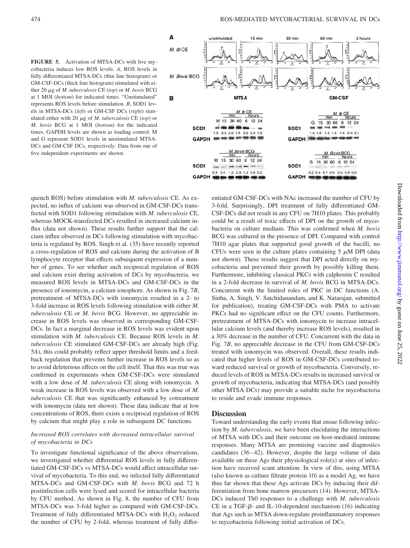**FIGURE 5.** Activation of MTSA-DCs with live mycobacteria induces low ROS levels. *A*, ROS levels in fully differentiated MTSA-DCs (thin line histogram) or GM-CSF-DCs (thick line histogram) stimulated with either 20 μg of *M. tuberculosis* CE (*top*) or *M. bovis* BCG at 1 MOI (*bottom*) for indicated times. "Unstimulated" represents ROS levels before stimulation. *B*, SOD1 levels in MTSA-DCs (*left*) or GM-CSF DCs (*right*) stimulated either with 20  $\mu$ g of *M. tuberculosis* CE (*top*) or *M. bovis* BCG at 1 MOI (*bottom*) for the indicated times. GAPDH levels are shown as loading control. M and G represent SOD1 levels in unstimulated MTSA-DCs and GM-CSF DCs, respectively. Data from one of five independent experiments are shown.



quench ROS) before stimulation with *M. tuberculosis* CE. As expected, no influx of calcium was observed in GM-CSF-DCs transfected with SOD1 following stimulation with *M. tuberculosis* CE, whereas MOCK-transfected DCs resulted in increased calcium influx (data not shown). These results further support that the calcium influx observed in DCs following stimulation with mycobacteria is regulated by ROS. Singh et al. (35) have recently reported a cross-regulation of ROS and calcium during the activation of B lymphocyte receptor that effects subsequent expression of a number of genes. To see whether such reciprocal regulation of ROS and calcium exist during activation of DCs by mycobacteria, we measured ROS levels in MTSA-DCs and GM-CSF-DCs in the presence of ionomycin, a calcium ionophore. As shown in Fig. 7*B*, pretreatment of MTSA-DCs with ionomycin resulted in a 2- to 3-fold increase in ROS levels following stimulation with either *M. tuberculosis* CE or *M. bovis* BCG. However, no appreciable increase in ROS levels was observed in corresponding GM-CSF-DCs. In fact a marginal decrease in ROS levels was evident upon stimulation with *M. tuberculosis* CE. Because ROS levels in *M. tuberculosis* CE stimulated GM-CSF-DCs are already high (Fig. 5*A*), this could probably reflect upper threshold limits and a feedback regulation that prevents further increase in ROS levels so as to avoid deleterious effects on the cell itself. That this was true was confirmed in experiments when GM-CSF-DCs were stimulated with a low dose of *M. tuberculosis* CE along with ionomycin. A weak increase in ROS levels was observed with a low dose of *M. tuberculosis* CE that was significantly enhanced by cotreatment with ionomycin (data not shown). These data indicate that at low concentrations of ROS, there exists a reciprocal regulation of ROS by calcium that might play a role in subsequent DC functions.

# *Increased ROS correlates with decreased intracellular survival of mycobacteria in DCs*

To investigate functional significance of the above observations, we investigated whether differential ROS levels in fully differentiated GM-CSF-DCs vs MTSA-DCs would affect intracellular survival of mycobacteria. To this end, we infected fully differentiated MTSA-DCs and GM-CSF-DCs with *M. bovis* BCG and 72 h postinfection cells were lysed and scored for intracellular bacteria by CFU method. As shown in Fig. 8, the number of CFU from MTSA-DCs was 3-fold higher as compared with GM-CSF-DCs. Treatment of fully differentiated MTSA-DCs with  $H_2O_2$  reduced the number of CFU by 2-fold, whereas treatment of fully differentiated GM-CSF-DCs with NAc increased the number of CFU by 3-fold. Surprisingly, DPI treatment of fully differentiated GM-CSF-DCs did not result in any CFU on 7H10 plates. This probably could be a result of toxic effects of DPI on the growth of mycobacteria on culture medium. This was confirmed when *M. bovis* BCG was cultured in the presence of DPI. Compared with control 7H10 agar plates that supported good growth of the bacilli, no CFUs were seen in the culture plates containing  $5 \mu M$  DPI (data not shown). These results suggest that DPI acted directly on mycobacteria and prevented their growth by possibly killing them. Furthermore, inhibiting classical PKCs with calphostin C resulted in a 2-fold decrease in survival of *M. bovis* BCG in MTSA-DCs. Concurrent with the limited roles of PKC in DC functions (A. Sinha, A. Singh, V. Satchidanandam, and K. Natarajan, submitted for publication), treating GM-CSF-DCs with PMA to activate PKCs had no significant effect on the CFU counts. Furthermore, pretreatment of MTSA-DCs with ionomycin to increase intracellular calcium levels (and thereby increase ROS levels), resulted in a 30% decrease in the number of CFU. Concurrent with the data in Fig. 7*B*, no appreciable decrease in the CFU from GM-CSF-DCs treated with ionomycin was observed. Overall, these results indicated that higher levels of ROS in GM-CSF-DCs contributed toward reduced survival or growth of mycobacteria. Conversely, reduced levels of ROS in MTSA-DCs results in increased survival or growth of mycobacteria, indicating that MTSA-DCs (and possibly other MTSA-DCs) may provide a suitable niche for mycobacteria to reside and evade immune responses.

# **Discussion**

Toward understanding the early events that ensue following infection by *M. tuberculosis*, we have been elucidating the interactions of MTSA with DCs and their outcome on host-mediated immune responses. Many MTSA are promising vaccine and diagnostics candidates (36–42). However, despite the large volume of data available on these Ags their physiological role(s) at sites of infection have received scant attention. In view of this, using MTSA (also known as culture filtrate protein 10) as a model Ag, we have thus far shown that these Ags activate DCs by inducing their differentiation from bone marrow precursors (14). However, MTSA-DCs induced Th0 responses to a challenge with *M. tuberculosis* CE in a TGF- $\beta$ - and IL-10-dependent mechanism (16) indicating that Ags such as MTSA down-regulate proinflammatory responses to mycobacteria following initial activation of DCs.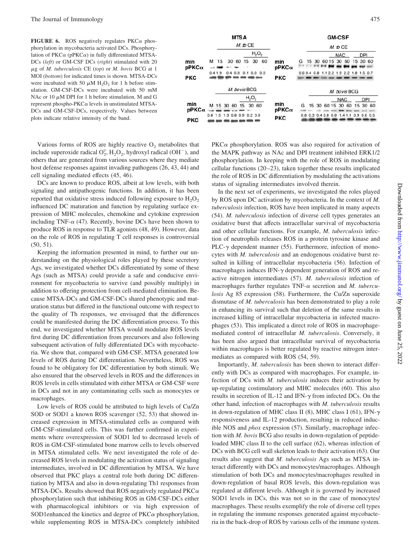**FIGURE 6.** ROS negatively regulates  $PKC\alpha$  phosphorylation in mycobacteria activated DCs. Phosphorylation of PKC $\alpha$  (pPKC $\alpha$ ) in fully differentiated MTSA-DCs (*left*) or GM-CSF DCs (*right*) stimulated with 20 -g of *M. tuberculosis* CE (*top*) or *M. bovis* BCG at 1 MOI (*bottom*) for indicated times is shown. MTSA-DCs were incubated with 50  $\mu$ M H<sub>2</sub>O<sub>2</sub> for 1 h before stimulation. GM-CSF-DCs were incubated with 50 mM NAc or 10  $\mu$ M DPI for 1 h before stimulation. M and G represent phospho-PKC $\alpha$  levels in unstimulated MTSA-DCs and GM-CSF-DCs, respectively. Values between plots indicate relative intensity of the band.

Various forms of ROS are highly reactive  $O<sub>2</sub>$  metabolites that include superoxide radical  $O_2^-, H_2O_2$ , hydroxyl radical (OH<sup>-</sup>), and others that are generated from various sources where they mediate host defense responses against invading pathogens (26, 43, 44) and cell signaling mediated effects (45, 46).

DCs are known to produce ROS, albeit at low levels, with both signaling and antipathogenic functions. In addition, it has been reported that oxidative stress induced following exposure to  $H_2O_2$ influenced DC maturation and function by regulating surface expression of MHC molecules, chemokine and cytokine expression including TNF- $\alpha$  (47). Recently, bovine DCs have been shown to produce ROS in response to TLR agonists (48, 49). However, data on the role of ROS in regulating T cell responses is controversial (50, 51).

Keeping the information presented in mind, to further our understanding on the physiological roles played by these secretory Ags, we investigated whether DCs differentiated by some of these Ags (such as MTSA) could provide a safe and conducive environment for mycobacteria to survive (and possibly multiply) in addition to offering protection from cell-mediated elimination. Because MTSA-DCs and GM-CSF-DCs shared phenotypic and maturation status but differed in the functional outcome with respect to the quality of Th responses, we envisaged that the differences could be manifested during the DC differentiation process. To this end, we investigated whether MTSA would modulate ROS levels first during DC differentiation from precursors and also following subsequent activation of fully differentiated DCs with mycobacteria. We show that, compared with GM-CSF, MTSA generated low levels of ROS during DC differentiation. Nevertheless, ROS was found to be obligatory for DC differentiation by both stimuli. We also ensured that the observed levels in ROS and the differences in ROS levels in cells stimulated with either MTSA or GM-CSF were in DCs and not in any contaminating cells such as monocytes or macrophages.

Low levels of ROS could be attributed to high levels of Cu/Zn SOD or SOD1 a known ROS scavenger (52, 53) that showed increased expression in MTSA-stimulated cells as compared with GM-CSF-stimulated cells. This was further confirmed in experiments where overexpression of SOD1 led to decreased levels of ROS in GM-CSF-stimulated bone marrow cells to levels observed in MTSA stimulated cells. We next investigated the role of decreased ROS levels in modulating the activation status of signaling intermediates, involved in DC differentiation by MTSA. We have observed that PKC plays a central role both during DC differentiation by MTSA and also in down-regulating Th1 responses from MTSA-DCs. Results showed that ROS negatively regulated  $PKC\alpha$ phosphorylation such that inhibiting ROS in GM-CSF-DCs either with pharmacological inhibitors or via high expression of SOD1enhanced the kinetics and degree of  $PKC\alpha$  phosphorylation, while supplementing ROS in MTSA-DCs completely inhibited  $PKC\alpha$  phosphorylation. ROS was also required for activation of the MAPK pathway as NAc and DPI treatment inhibited ERK1/2 phosphorylation. In keeping with the role of ROS in modulating cellular functions (20–23), taken together these results implicated the role of ROS in DC differentiation by modulating the activations status of signaling intermediates involved therein.

In the next set of experiments, we investigated the roles played by ROS upon DC activation by mycobacteria. In the context of *M. tuberculosis* infection, ROS have been implicated in many aspects (54). *M. tuberculosis* infection of diverse cell types generates an oxidative burst that affects intracellular survival of mycobacteria and other cellular functions. For example, *M. tuberculosis* infection of neutrophils releases ROS in a protein tyrosine kinase and PLC- $\gamma$  dependent manner (55). Furthermore, infection of monocytes with *M. tuberculosis* and an endogenous oxidative burst resulted in killing of intracellular mycobacteria (56). Infection of macrophages induces IFN- $\gamma$  dependent generation of ROS and reactive nitrogen intermediates (57). *M. tuberculosis* infection of macrophages further regulates  $TNF-\alpha$  secretion and *M. tuberculosis* Ag 85 expression (58). Furthermore, the Cu/Zn superoxide dismutase of *M. tuberculosis* has been demonstrated to play a role in enhancing its survival such that deletion of the same results in increased killing of intracellular mycobacteria in infected macrophages (53). This implicated a direct role of ROS in macrophagemediated control of intracellular *M. tuberculosis*. Conversely, it has been also argued that intracellular survival of mycobacteria within macrophages is better regulated by reactive nitrogen intermediates as compared with ROS (54, 59).

Importantly, *M. tuberculosis* has been shown to interact differently with DCs as compared with macrophages. For example, infection of DCs with *M. tuberculosis* induces their activation by up-regulating costimulatory and MHC molecules (60). This also results in secretion of IL-12 and IFN- $\gamma$  from infected DCs. On the other hand, infection of macrophages with *M. tuberculosis* results in down-regulation of MHC class II (8), MHC class I (61), IFN- $\gamma$ responsiveness and IL-12 production, resulting in reduced inducible NOS and *phox* expression (57). Similarly, macrophage infection with *M. bovis* BCG also results in down-regulation of peptideloaded MHC class II to the cell surface (62), whereas infection of DCs with BCG cell wall skeleton leads to their activation (63). Our results also suggest that *M. tuberculosis* Ags such as MTSA interact differently with DCs and monocytes/macrophages. Although stimulation of both DCs and monocytes/macrophages resulted in down-regulation of basal ROS levels, this down-regulation was regulated at different levels. Although it is governed by increased SOD1 levels in DCs, this was not so in the case of monocytes/ macrophages. These results exemplify the role of diverse cell types in regulating the immune responses generated against mycobacteria in the back-drop of ROS by various cells of the immune system.

|                     |   |        |                             | <b>MTSA</b> |              |                   |    |                     |   |              |       |  |  | <b>GM-CSF</b>  |    |  |                                         |  |  |
|---------------------|---|--------|-----------------------------|-------------|--------------|-------------------|----|---------------------|---|--------------|-------|--|--|----------------|----|--|-----------------------------------------|--|--|
|                     |   |        |                             |             | $M.$ tb CE   |                   |    |                     |   |              |       |  |  | $M.$ $tb$ $CE$ |    |  |                                         |  |  |
|                     |   |        |                             |             |              | $H_2O_2$          |    |                     |   |              |       |  |  | <b>NAC</b>     |    |  | <b>DPI</b>                              |  |  |
| min<br>$pPKC\alpha$ | м | 15     |                             | 30 60       | 15           | 30                | 60 | min<br>$pPKC\alpha$ | G |              | 15 30 |  |  | 60 15 30 60    |    |  | 15 30 60                                |  |  |
| <b>PKC</b>          |   | 0.41.9 | $0.4$ $0.8$                 |             |              | $0.1$ $0.0$ $0.0$ |    | <b>PKC</b>          |   |              |       |  |  |                |    |  | 0.6 0.4 0.8 1.1 2.2 1.9 2.2 1.8 1.5 0.7 |  |  |
|                     |   |        |                             |             | M. bovis BCG |                   |    |                     |   | M. bovis BCG |       |  |  |                |    |  |                                         |  |  |
|                     |   |        |                             |             |              | $H_2O_2$          |    |                     |   |              |       |  |  | <b>NAC</b>     |    |  | <b>DPI</b>                              |  |  |
| min<br>$pPKC\alpha$ | м | 15 30  |                             | 60          | 15           | 30 60             |    | min<br>$pPKC\alpha$ | G |              | 15 30 |  |  | 60 15 30       | 60 |  | 15 30 60                                |  |  |
| <b>PKC</b>          |   |        | 0.8 1.5 1.3 0.8 0.9 0.2 0.0 |             |              |                   |    | <b>PKC</b>          |   |              |       |  |  |                |    |  | 0.8 0.3 0.4 0.8 0.8 1.4 1.1 0.9 0.6 0.5 |  |  |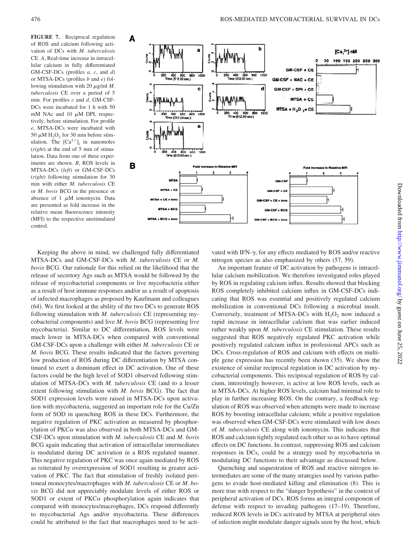**FIGURE 7.** Reciprocal regulation of ROS and calcium following activation of DCs with *M. tuberculosis* CE. *A*, Real-time increase in intracellular calcium in fully differentiated GM-CSF-DCs (profiles *a*, *c*, and *d*) or MTSA-DCs (profiles *b* and *e*) following stimulation with 20  $\mu$ g/ml *M*. *tuberculosis* CE over a period of 5 min. For profiles *c* and *d*, GM-CSF-DCs were incubated for 1 h with 50 mM NAc and  $10 \mu M$  DPI, respectively, before stimulation. For profile *e*, MTSA-DCs were incubated with 50  $\mu$ M H<sub>2</sub>O<sub>2</sub> for 30 min before stimulation. The  $[Ca^{2+}]$ <sub>i</sub> in nanomoles (*right*) at the end of 5 min of stimulation. Data from one of three experiments are shown. *B*, ROS levels in MTSA-DCs (*left*) or GM-CSF-DCs (*right*) following stimulation for 30 min with either *M. tuberculosis* CE or *M. bovis* BCG in the presence or absence of 1  $\mu$ M ionomycin. Data are presented as fold increase in the relative mean fluorescence intensity (MFI) to the respective unstimulated control.



Keeping the above in mind, we challenged fully differentiated MTSA-DCs and GM-CSF-DCs with *M. tuberculosis* CE or *M. bovis* BCG. Our rationale for this relied on the likelihood that the release of secretory Ags such as MTSA would be followed by the release of mycobacterial components or live mycobacteria either as a result of host immune responses and/or as a result of apoptosis of infected macrophages as proposed by Kaufmann and colleagues (64). We first looked at the ability of the two DCs to generate ROS following stimulation with *M. tuberculosis* CE (representing mycobacterial components) and live *M. bovis* BCG (representing live mycobacteria). Similar to DC differentiation, ROS levels were much lower in MTSA-DCs when compared with conventional GM-CSF-DCs upon a challenge with either *M. tuberculosis* CE or *M. bovis* BCG. These results indicated that the factors governing low production of ROS during DC differentiation by MTSA continued to exert a dominant effect in DC activation. One of these factors could be the high level of SOD1 observed following stimulation of MTSA-DCs with *M. tuberculosis* CE (and to a lesser extent following stimulation with *M. bovis* BCG). The fact that SOD1 expression levels were raised in MTSA-DCs upon activation with mycobacteria, suggested an important role for the Cu/Zn form of SOD in quenching ROS in these DCs. Furthermore, the negative regulation of PKC activation as measured by phosphorylation of  $PKC\alpha$  was also observed in both MTSA-DCs and GM-CSF-DCs upon stimulation with *M. tuberculosis* CE and *M. bovis* BCG again indicating that activation of intracellular intermediates is modulated during DC activation in a ROS regulated manner. This negative regulation of PKC was once again mediated by ROS as reiterated by overexpression of SOD1 resulting in greater activation of PKC. The fact that stimulation of freshly isolated peritoneal monocytes/macrophages with *M. tuberculosis* CE or *M. bovis* BCG did not appreciably modulate levels of either ROS or SOD1 or extent of PKC $\alpha$  phosphorylation again indicates that compared with monocytes/macrophages, DCs respond differently to mycobacterial Ags and/or mycobacteria. These differences could be attributed to the fact that macrophages need to be acti-

vated with IFN- $\gamma$ , for any effects mediated by ROS and/or reactive nitrogen species as also emphasized by others (57, 59).

An important feature of DC activation by pathogens is intracellular calcium mobilization. We therefore investigated roles played by ROS in regulating calcium influx. Results showed that blocking ROS completely inhibited calcium influx in GM-CSF-DCs indicating that ROS was essential and positively regulated calcium mobilization in conventional DCs following a microbial insult. Conversely, treatment of MTSA-DCs with  $H_2O_2$  now induced a rapid increase in intracellular calcium that was earlier induced rather weakly upon *M. tuberculosis* CE stimulation. These results suggested that ROS negatively regulated PKC activation while positively regulated calcium influx in professional APCs such as DCs. Cross-regulation of ROS and calcium with effects on multiple gene expression has recently been shown (35). We show the existence of similar reciprocal regulation in DC activation by mycobacterial components. This reciprocal regulation of ROS by calcium, interestingly however, is active at low ROS levels, such as in MTSA-DCs. At higher ROS levels, calcium had minimal role to play in further increasing ROS. On the contrary, a feedback regulation of ROS was observed when attempts were made to increase ROS by boosting intracellular calcium; while a positive regulation was observed when GM-CSF-DCs were stimulated with low doses of *M. tuberculosis* CE along with ionomycin. This indicates that ROS and calcium tightly regulated each other so as to have optimal effects on DC functions. In contrast, suppressing ROS and calcium responses in DCs, could be a strategy used by mycobacteria in modulating DC functions to their advantage as discussed below.

Quenching and sequestration of ROS and reactive nitrogen intermediates are some of the many strategies used by various pathogens to evade host-mediated killing and elimination (8). This is more true with respect to the "danger hypothesis" in the context of peripheral activation of DCs. ROS forms an integral component of defense with respect to invading pathogens (17–19). Therefore, reduced ROS levels in DCs activated by MTSA at peripheral sites of infection might modulate danger signals seen by the host, which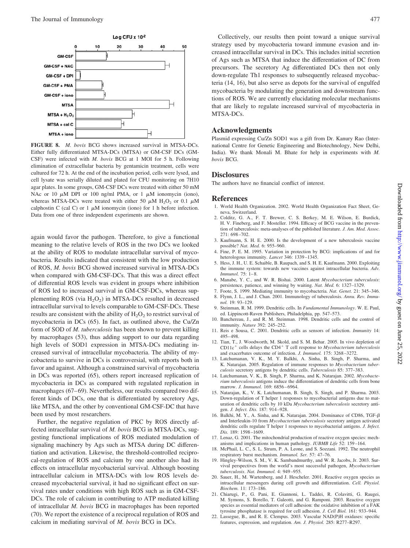

**FIGURE 8.** *M. bovis* BCG shows increased survival in MTSA-DCs. Either fully differentiated MTSA-DCs (MTSA) or GM-CSF DCs (GM-CSF) were infected with *M. bovis* BCG at 1 MOI for 5 h. Following elimination of extracellular bacteria by gentamicin treatment, cells were cultured for 72 h. At the end of the incubation period, cells were lysed, and cell lysate was serially diluted and plated for CFU monitoring on 7H10 agar plates. In some groups, GM-CSF DCs were treated with either 50 mM NAc or 10  $\mu$ M DPI or 100 ng/ml PMA, or 1  $\mu$ M ionomycin (iono), whereas MTSA-DCs were treated with either 50  $\mu$ M H<sub>2</sub>O<sub>2</sub> or 0.1  $\mu$ M calphostin C (cal C) or 1  $\mu$ M ionomycin (iono) for 1 h before infection. Data from one of three independent experiments are shown.

again would favor the pathogen. Therefore, to give a functional meaning to the relative levels of ROS in the two DCs we looked at the ability of ROS to modulate intracellular survival of mycobacteria. Results indicated that consistent with the low production of ROS, *M. bovis* BCG showed increased survival in MTSA-DCs when compared with GM-CSF-DCs. That this was a direct effect of differential ROS levels was evident in groups where inhibition of ROS led to increased survival in GM-CSF-DCs, whereas supplementing ROS (via  $H_2O_2$ ) in MTSA-DCs resulted in decreased intracellular survival to levels comparable to GM-CSF-DCs. These results are consistent with the ability of  $H_2O_2$  to restrict survival of mycobacteria in DCs (65). In fact, as outlined above, the Cu/Zn form of SOD of *M. tuberculosis* has been shown to prevent killing by macrophages (53), thus adding support to our data regarding high levels of SOD1 expression in MTSA-DCs mediating increased survival of intracellular mycobacteria. The ability of mycobacteria to survive in DCs is controversial, with reports both in favor and against. Although a constrained survival of mycobacteria in DCs was reported (65), others report increased replication of mycobacteria in DCs as compared with regulated replication in macrophages (67–69). Nevertheless, our results compared two different kinds of DCs, one that is differentiated by secretory Ags, like MTSA, and the other by conventional GM-CSF-DC that have been used by most researchers.

Further, the negative regulation of PKC by ROS directly affected intracellular survival of *M. bovis* BCG in MTSA-DCs, suggesting functional implications of ROS mediated modulation of signaling machinery by Ags such as MTSA during DC differentiation and activation. Likewise, the threshold-controlled reciprocal-regulation of ROS and calcium by one another also had its effects on intracellular mycobacterial survival. Although boosting intracellular calcium in MTSA-DCs with low ROS levels decreased mycobacterial survival, it had no significant effect on survival rates under conditions with high ROS such as in GM-CSF-DCs. The role of calcium in contributing to ATP mediated killing of intracellular *M. bovis* BCG in macrophages has been reported (70). We report the existence of a reciprocal regulation of ROS and calcium in mediating survival of *M. bovis* BCG in DCs.

Collectively, our results then point toward a unique survival strategy used by mycobacteria toward immune evasion and increased intracellular survival in DCs. This includes initial secretion of Ags such as MTSA that induce the differentiation of DC from precursors. The secretory Ag differentiated DCs then not only down-regulate Th1 responses to subsequently released mycobacteria (14, 16), but also serve as depots for the survival of engulfed mycobacteria by modulating the generation and downstream functions of ROS. We are currently elucidating molecular mechanisms that are likely to regulate increased survival of mycobacteria in MTSA-DCs.

# **Acknowledgments**

Plasmid expressing Cu/Zn SOD1 was a gift from Dr. Kanury Rao (International Centre for Genetic Engineering and Biotechnology, New Delhi, India). We thank Monali M. Bhate for help in experiments with *M. bovis* BCG.

# **Disclosures**

The authors have no financial conflict of interest.

### **References**

- 1. World Health Organization. 2002. World Health Organization Fact Sheet, Geneva, Switzerland.
- 2. Colditz, G. A., F. T. Brewer, C. S. Berkey, M. E. Wilson, E. Burdick, H. V. Fineberg, and F. Mosteller. 1994. Efficacy of BCG vaccine in the prevention of tuberculosis: meta-analyses of the published literature. *J. Am. Med. Assoc.* 271: 698–702.
- 3. Kaufmann, S. H. E. 2000. Is the development of a new tuberculosis vaccine possible? *Nat. Med.* 6: 955–960.
- 4. Fine, P. E. M. 1995. Variation in protection by BCG: implications of and for heterologous immunity. *Lancet* 346: 1339–1345.
- 5. Hess, J. H., U. E. Schaible, B. Raupach, and S. H. E. Kaufmann. 2000. Exploiting the immune system: towards new vaccines against intracellular bacteria. *Adv. Immunol.* 75: 1–8.
- 6. Manabe, Y. C., and W. R. Bishai. 2000. Latent *Mycobacterium tuberculosis*: persistence, patience, and winning by waiting. *Nat. Med.* 6: 1327–1329.
- 7. Foote, S. 1999. Mediating immunity to mycobacteria. *Nat. Genet.* 21: 345–346. 8. Flynn, J. L., and J. Chan. 2001. Immunology of tuberculosis. *Annu. Rev. Immu-*
- *nol.* 19: 93–129.
- 9. Steinman, R. M. 1999. Dendritic cells. In *Fundamental Immunology*. W. E. Paul, ed. Lippincott-Raven Publishers, Philadelphia, pp. 547–573.
- 10. Banchereau, J., and R. M. Steinman. 1998. Dendritic cells and the control of immunity. *Nature* 392: 245–252.
- 11. Reis e Sousa, C. 2001. Dendritic cells as sensors of infection. *Immunity* 14: 495–498.
- 12. Tian, T., J. Woodworth, M. Skold, and S. M. Behar. 2005. In vivo depletion of CD11c<sup>+</sup> cells delays the CD4<sup>+</sup> T cell response to *Mycobacterium tuberculosis* and exacerbates outcome of infection. *J. Immunol.* 175: 3268–3272.
- 13. Latchumanan, V. K., M. Y. Balkhi, A. Sinha, B. Singh, P. Sharma, and K. Natarajan. 2005. Regulation of immune responses to *Mycobacterium tuberculosis* secretory antigens by dendritic cells. *Tuberculosis* 85: 377–383.
- 14. Latchumanan, V. K., B. Singh, P. Sharma, and K. Natarajan. 2002. *Mycobacterium tuberculosis* antigens induce the differentiation of dendritic cells from bone marrow. *J. Immunol.* 169: 6856–6964.
- 15. Natarajan, K., V. K. Latchumanan, B. Singh, S. Singh, and P. Sharma. 2003. Down-regulation of T helper 1 responses to mycobacterial antigens due to maturation of dendritic cells by 10 kDa *Mycobacterium tuberculosis* secretory antigen. *J. Infect. Dis.* 187: 914–928.
- 16. Balkhi, M. Y., A. Sinha, and K. Natarajan. 2004. Dominance of CD86, TGF- $\beta$ and Interleukin-10 from *Mycobacterium tuberculosis* secretory antigen activated dendritic cells regulate T helper 1 responses to mycobacterial antigens. *J. Infect. Dis.* 189: 1598–1609.
- 17. Lenaz, G. 2001. The mitochondrial production of reactive oxygen species: mechanisms and implications in human pathology. *IUBMB Life* 52: 159–164.
- 18. McPhail, L. C., S. L. Strum, P. A. Leone, and S. Sozzani. 1992. The neutrophil respiratory burst mechanism. *Immunol. Ser.* 57: 47–76.
- 19. Hingley-Wilson, S. M., V. K. Sambandmurthy, and W. R. Jacobs, Jr. 2003. Survival perspectives from the world's most successful pathogen, *Mycobacterium tuberculosis*. *Nat. Immunol.* 4: 949–955.
- 20. Sauer, H., M. Wartenberg, and J. Hescheler. 2001. Reactive oxygen species as intracellular messengers during cell growth and differentiation. *Cell. Physiol. Biochem.* 11: 173–186.
- 21. Chiarugi, P., G. Pani, E. Giannoni, L. Taddei, R. Colavitti, G. Raugei, M. Symons, S. Borello, T. Galeotti, and G. Ramponi. 2003. Reactive oxygen species as essential mediators of cell adhesion: the oxidative inhibition of a FAK tyrosine phosphatase is required for cell adhesion. *J. Cell Biol.* 161: 933–944.
- 22. Lassegue, B., and R. E. Clempus. 2003. Vascular NAD(P)H oxidases: specific features, expression, and regulation. *Am. J. Physiol.* 285: R277–R297.